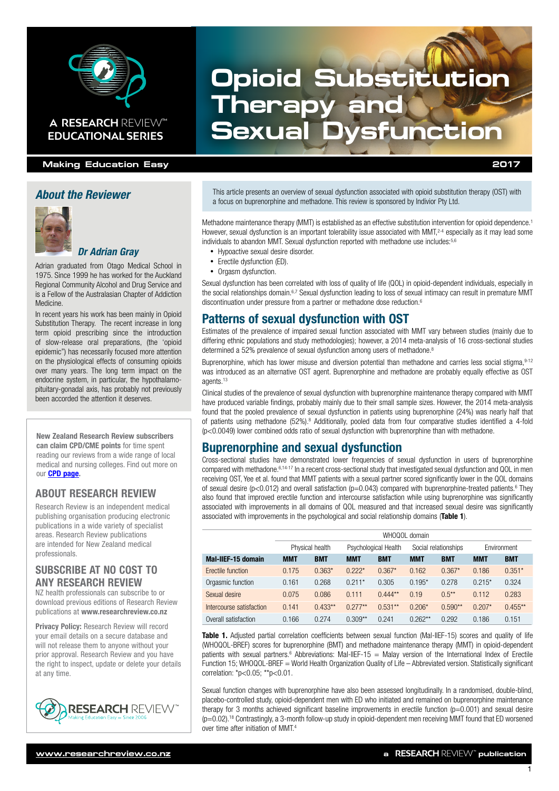

## **EDUCATIONAL SERIES**

#### **Making Education Easy 2017**

#### *About the Reviewer*



#### *Dr Adrian Gray*

Adrian graduated from Otago Medical School in 1975. Since 1999 he has worked for the Auckland Regional Community Alcohol and Drug Service and is a Fellow of the Australasian Chapter of Addiction Medicine.

In recent years his work has been mainly in Opioid Substitution Therapy. The recent increase in long term opioid prescribing since the introduction of slow-release oral preparations, (the 'opioid epidemic") has necessarily focused more attention on the physiological effects of consuming opioids over many years. The long term impact on the endocrine system, in particular, the hypothalamopituitary-gonadal axis, has probably not previously been accorded the attention it deserves.

New Zealand Research Review subscribers can claim CPD/CME points for time spent reading our reviews from a wide range of local medical and nursing colleges. Find out more on our [CPD page.](http://www.researchreview.co.nz/cpd?site=nz)

#### ABOUT RESEARCH REVIEW

Research Review is an independent medical publishing organisation producing electronic publications in a wide variety of specialist areas. Research Review publications are intended for New Zealand medical professionals.

#### SUBSCRIBE AT NO COST TO ANY RESEARCH REVIEW

NZ health professionals can subscribe to or download previous editions of Research Review publications at [www.researchreview.co.nz](http://www.researchreview.co.nz)

Privacy Policy: [Research Review will record](http://www.researchreview.co.nz)  [your email details on a secure database and](http://www.researchreview.co.nz)  [will not release them to anyone without your](http://www.researchreview.co.nz)  [prior approval. Research Review and you have](http://www.researchreview.co.nz)  [the right to inspect, update or delete your details](http://www.researchreview.co.nz)  [at any time.](http://www.researchreview.co.nz)



# **Opioid Substitution Therapy and A RESEARCH REVIEW™ Sexual Dysfunction**

This article presents an overview of sexual dysfunction associated with opioid substitution therapy (OST) with a focus on buprenorphine and methadone. This review is sponsored by Indivior Pty Ltd.

Methadone maintenance therapy (MMT) is established as an effective substitution intervention for opioid dependence.1 However, sexual dysfunction is an important tolerability issue associated with MMT,<sup>2-4</sup> especially as it may lead some individuals to abandon MMT. Sexual dysfunction reported with methadone use includes: 5,6

- Hypoactive sexual desire disorder.
- Erectile dysfunction (ED).
- Orgasm dysfunction.

Sexual dysfunction has been correlated with loss of quality of life (QOL) in opioid-dependent individuals, especially in the social relationships domain.<sup>6,7</sup> Sexual dysfunction leading to loss of sexual intimacy can result in premature MMT discontinuation under pressure from a partner or methadone dose reduction.<sup>6</sup>

#### Patterns of sexual dysfunction with OST

Estimates of the prevalence of impaired sexual function associated with MMT vary between studies (mainly due to differing ethnic populations and study methodologies); however, a 2014 meta-analysis of 16 cross-sectional studies determined a 52% prevalence of sexual dysfunction among users of methadone.<sup>8</sup>

Buprenorphine, which has lower misuse and diversion potential than methadone and carries less social stigma, 9-12 was introduced as an alternative OST agent. Buprenorphine and methadone are probably equally effective as OST agents.<sup>13</sup>

Clinical studies of the prevalence of sexual dysfunction with buprenorphine maintenance therapy compared with MMT have produced variable findings, probably mainly due to their small sample sizes. However, the 2014 meta-analysis found that the pooled prevalence of sexual dysfunction in patients using buprenorphine (24%) was nearly half that of patients using methadone (52%).8 Additionally, pooled data from four comparative studies identified a 4-fold (p<0.0049) lower combined odds ratio of sexual dysfunction with buprenorphine than with methadone.

#### Buprenorphine and sexual dysfunction

Cross-sectional studies have demonstrated lower frequencies of sexual dysfunction in users of buprenorphine compared with methadone.6,14-17 In a recent cross-sectional study that investigated sexual dysfunction and QOL in men receiving OST, Yee et al. found that MMT patients with a sexual partner scored significantly lower in the QOL domains of sexual desire ( $p$ <0.012) and overall satisfaction ( $p$ =0.043) compared with buprenorphine-treated patients.<sup>6</sup> They also found that improved erectile function and intercourse satisfaction while using buprenorphine was significantly associated with improvements in all domains of QOL measured and that increased sexual desire was significantly associated with improvements in the psychological and social relationship domains (Table 1).

|                          | WHOQOL domain   |            |                      |            |                      |            |             |            |
|--------------------------|-----------------|------------|----------------------|------------|----------------------|------------|-------------|------------|
|                          | Physical health |            | Psychological Health |            | Social relationships |            | Environment |            |
| Mal-IIEF-15 domain       | <b>MMT</b>      | <b>BMT</b> | <b>MMT</b>           | <b>BMT</b> | <b>MMT</b>           | <b>BMT</b> | <b>MMT</b>  | <b>BMT</b> |
| Erectile function        | 0.175           | $0.363*$   | $0.222*$             | $0.367*$   | 0.162                | $0.367*$   | 0.186       | $0.351*$   |
| Orgasmic function        | 0.161           | 0.268      | $0.211*$             | 0.305      | $0.195*$             | 0.278      | $0.215*$    | 0.324      |
| Sexual desire            | 0.075           | 0.086      | 0.111                | $0.444**$  | 0.19                 | $0.5***$   | 0.112       | 0.283      |
| Intercourse satisfaction | 0.141           | $0.433**$  | $0.277**$            | $0.531**$  | $0.206*$             | $0.590**$  | $0.207*$    | $0.455**$  |
| Overall satisfaction     | 0.166           | 0.274      | $0.309**$            | 0.241      | $0.262**$            | 0.292      | 0.186       | 0.151      |

Table 1. Adjusted partial correlation coefficients between sexual function (Mal-IIEF-15) scores and quality of life (WHOQOL-BREF) scores for buprenorphine (BMT) and methadone maintenance therapy (MMT) in opioid-dependent patients with sexual partners.<sup>6</sup> Abbreviations: Mal-IIEF-15 = Malay version of the International Index of Erectile Function 15; WHOQOL-BREF = World Health Organization Quality of Life – Abbreviated version. Statistically significant correlation: \*p<0.05; \*\*p<0.01.

Sexual function changes with buprenorphine have also been assessed longitudinally. In a randomised, double-blind, placebo-controlled study, opioid-dependent men with ED who initiated and remained on buprenorphine maintenance therapy for 3 months achieved significant baseline improvements in erectile function  $(p=0.001)$  and sexual desire (p=0.02).18 Contrastingly, a 3-month follow-up study in opioid-dependent men receiving MMT found that ED worsened over time after initiation of MMT.4

1